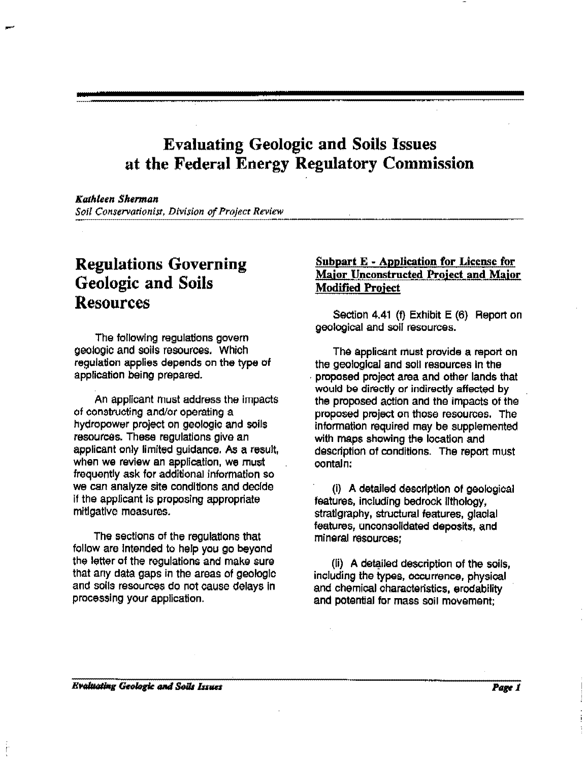### Evaluating Geologic and Soils Issues at the Federal Energy Regulatory Commission

Kuthteen Sherman

*Soil Conservationist, Division of Project Review* 

# Regulations Governing Geologic and Soils Resources

The following regulations govern geologic and soils resources. Which regulation applies depends on the type of application being prepared.

An applicant must address the impacts of constructing and/or operating a hydropower project on geologic and soils resources. These regulations give an applicant only limited guidance. As a result, when we review an application, we must frequently ask for additional information so we can analyze site conditions and decide if the applicant is proposing appropriate mitigative measures.

The sections of the regulations that follow are Intended to help you go beyond the letter of the regulations and make sure that any data gaps in the areas of geologic and soils resources do not cause delays In processing your application.

#### Subpart E • Application for License for Major Unconstructed Project and Major Modified Project

Section 4.41 (f) Exhibit E (6) Report on geological and soil resources.

The applicant must provide a report on the geological and soli resources In the . proposed project area and other lands that would be directly or indirectly affected by the proposed action and the impacts of the proposed project on those resources. The information required may be supplemented with maps showing the location and description of conditions. The report must contain:

(i) A detailed description of geological features, including bedrock lithology, stratigraphy, structural features, glacial features, unconsolidated deposits, and mineral resources;

(ii) A detailed description of the soils, including the types, occurrence, physical and chemical characteristics, erodability and potential for mass soil movement;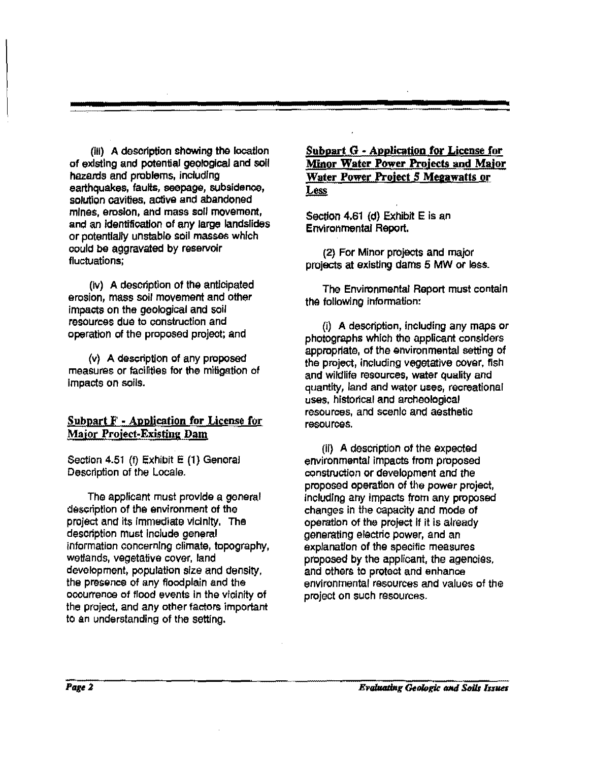(iii) A description showing the location of existing and potential gegloglcal and soli hazards and problems, including earthquakes, faults, seepage, subsidence, solution cavities, active and abandoned mines, erosion, and mass soil movement, and an identification of any large landslides or potentially unstable soil masses which could be aggravated by reservoir  $fluctuations$ ;

(iv) A description of the anticipated erosion, mass soil movement and other impacts on the geological and soil resources due to construction and operation of the proposed project; and

(v) A description of any proposed measures or facilities for the mitigation of impacts on soils.

### Subpart  $F$  - Application for License for Major Project-Existing Dam

Section 4.51 (f) Exhibit E (1) General Description of the Locale.

The applicant must provide a general description of the environment of the project and its immediate vicinity. The description must Include general information concerning climate, topography, wetlands, vegetative cover. land development, population size and density, the presgnce of any floodplain and the occurrence of flood events in the vicinity of the project, and any other factors important to an understanding of the setting.

 $Subpart G - Application for License for$ Minor Water Power Projects and MaJor Water Power Project 5 Megawatts or **Less** 

Section 4.61 (d) Exhibit E is an Environmental Report.

(2) For Minor projects and major projects at existing dams 5 MW or less.

The Environmental Report must contain the following information:

(i) A description, Including any maps or photographs which the applicant considers appropriate, of the environmental setting of the project, Including vegetative cover, fish and wildlife resources, water quality and quantity, land and water uses, recreational uses. historical and archeological resources, and scenic and aesthetic resources.

(II) A description of the expected environmental impacts from proposed construction or development and the proposed operation of the power project, including any impacts from any proposed changes in the capacity and mode of operation of the project If it is already generating electric power, and an explanation of the specific measures proposed by the applicant, the agencies, and others to protect and enhance environmental resources and values of the project on such resources.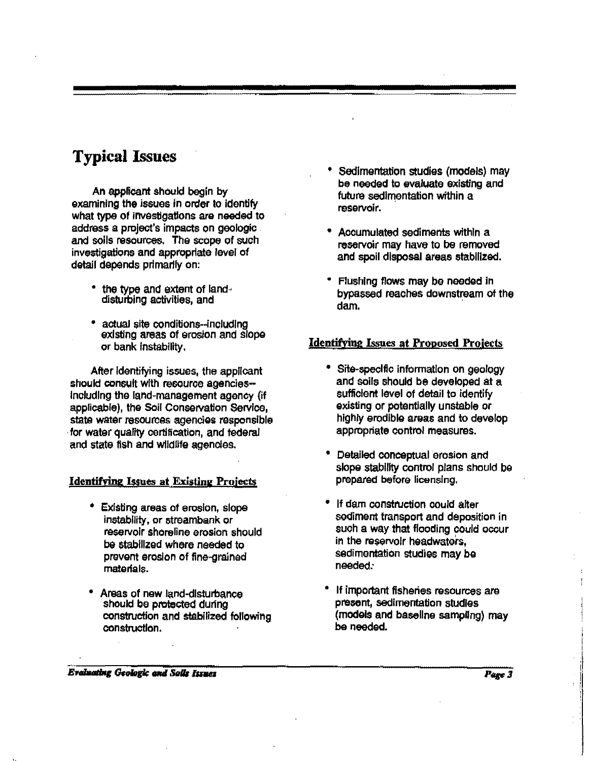# **Typical** Issues

An applicant should begin by examining the issues in order to identify what type of investigations are needed to address a project's impacts on geologic . and soils resources. The scope of such inveatigatlons and appropriate level of detail depends primarily on:

- the type and extent of land· disturbing activities, and
- actual site conditions--including existing areas of erosion and slopo or bank Instability.

After Identifying Issues, the applicant should consult with resource agencies-Including tho land-management agency (if applicable), the Soil Conservation Service, state water resources agencies responsible for water quality certification, and federal and state fish and wildlife agencies.

#### **Identifying Issues at Existing Projects**

- Existing areas of erosion, slope instability, or streambank or reservoir shoreline erosion should be stabilized where needed to prevent erosion of fine-grained materials.
- Areas of new land-disturbance should be protected during construction and stabilized following construction.
- Sedimentation studies (models) may be needed to evaluate existing and future sedimentation within a reservoir.
- Accumulated sediments within a reservoir may have to be removed and spoil disposal areas stabilized.
- Flushing flows may be noodod in bypassed reaches downstream *ot* the dam.

#### Identifying Issues at Proposed Projects

- Site-specific information on geology and soils should be developed at a sufficient level of detail to Identify existing or potentially unstable or highly erodible areas and to develop appropriate control measures.
- Detailed conceptual erosion and slope stability control plans should be prepared before licensing.
- If dam construction could alter sediment transport and deposition in such a way that flooding could occur in the reservolr headwaters, sedimentation studies may bo needed:
- If important fisheries resources are present, Sedimentation studios (models and baseline sampling) may be needed.

**Evaluating Geologic and Solls Issues**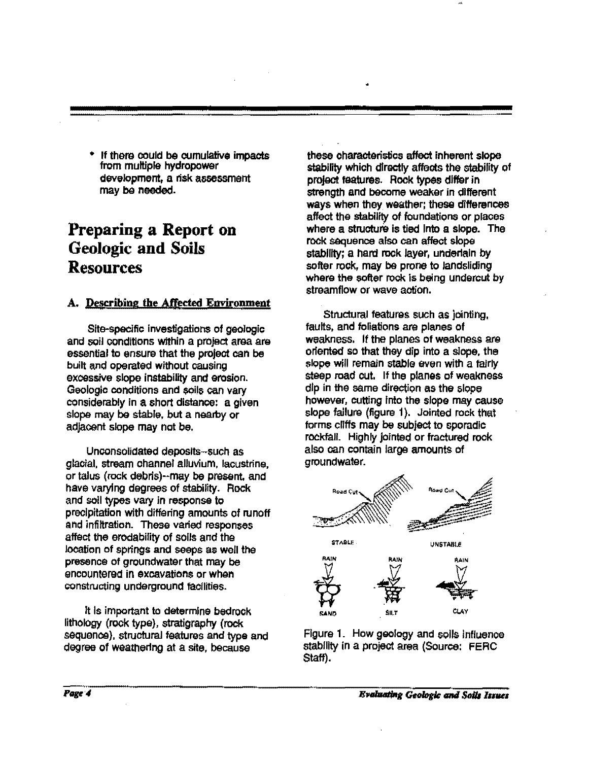If there could be cumulative impacts from multiple hydropower development, a risk assessment may be needed.

# **Preparing a Report on**  Geologic **and** Soils Resources

### A. Describing the Affected Environment

Site-specific investigations of geologic and soil conditions within a project area are essential to ensure that the project can be built and operated without causing excessive slope instability and erosion. Geologic conditions and soils can vary considerably in a short distance: a given slopa may be stable, but a nearby or adjacent slope may not be.

Unconsolidated deposits-such as glacial, stream channel alluvium, lacustrine. or talus (rock debris)--may be present, and have varying degrees of stability. Rock and soil types vary in response to precipitation with differing amounts of runoff and infiltration. These varied responses affect the erodability of soils and the location of springs and seeps as well the presence of groundwater that may be encountered in excavations or whan constructing underground facilities.

It is important to determine bedrock lithology (rock type}, stratigraphy (rock sequence), structural features and type and degree of weathering at a site, because

these characteristics affect inherent slope stability which directly affects the stability of project features. Rock types differ in strength and become weakar in different ways when they waather; these differences affect the stability of foundations or places where a structure is tied Into a slope. The rock saquence also can affect slope stability; a hard rock layer, underlain by softer rock, may be prone to landsliding where the softer rock is being undercut by streamflow or wave action.

Structural features such as jointing, faults, and foliations are planes of weakness. If the planes of weakness are oriented so that they dip into a slope, the slope will remain stable even with a fairly steep road cut. If the planes of weakness dip in the same direction as the slope however, cutting Into the slope *may* cause slope failure (figure 1). Jointed rock that forms cliffs may be subject to sporadic rockfall. Highly jointed or fractured rock also can contain large amounts of groundwater.



Figure 1. How geology and soils influence stability in a project area (Source: FERC Staff).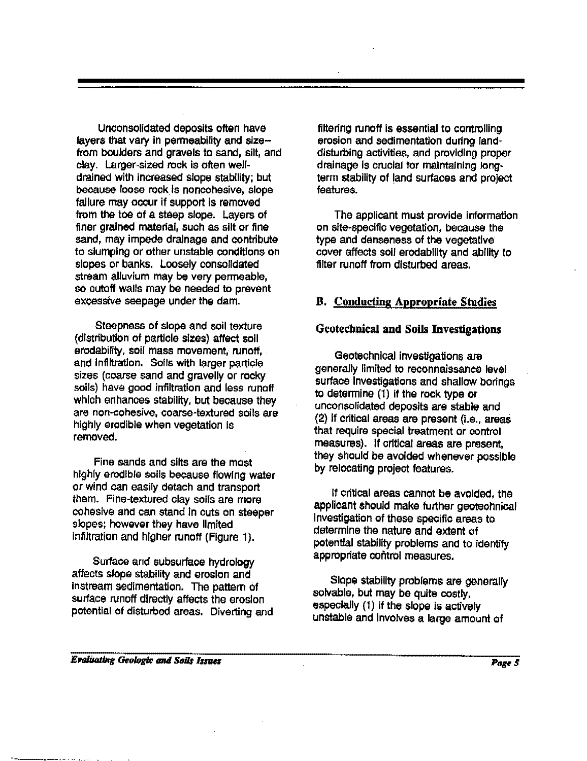Unconsolidated deposits often have layers that vary in permeability and size·· from boulders and gravels to sand, silt, and clay. Larger-sized rock is often welldrained with increased slope stability; but because loose rock. Is nonoohesive, slope failure may occur if support is removed from the toe of a steep slope. Layers of finer grained material, such as silt or fine sand, may impede drainage and contribute to slumping or other unstable conditions on slopes or banks. Loosely consolidated stream alluvium may be very penneable, so cutoff walls may be needed to prevent excessive seepage under the dam.

Steepness of slope and soil texture (distribution of particle sizes) affect soil erodability, soil mass movement, runoff, and Infiltration. Soils with larger particle sizes (coarse sand and gravelly or rocky soils) have good infiltration and less runoff which enhances stability, but because they are non-cohesive, coarse-textured soils are highly erodible when vegetation is removed.

Fine sands and slits are the most highly erodible soils because flowing water or wind can easily detach and transport them. Fine-textured clay soils are more cohesive and can stand In cuts on steeper slopes; however they have limited infiltration and higher runoff (Figure 1).

Surface and subsurface hydrology affects slope stability and erosion and instream sedimentation. The pattern of surface runoff directly affects the erosion potential of disturbed areas. Diverting and filtering runoff is essential to controlling erosion and sedimentation during landdisturbing activities, and providing proper drainage Is crucial for maintaining longterm stability of land surfaces and project features.

The applicant must provide information on site-specific vegetation, because the type and denseness of the vegetative cover affects soil erodability and ability to filter runoff from disturbed areas.

### **B. Conducting Appropriate Studies**

#### Geotetbnical **and** Soils Investigations

Geotechnical investigations are generally limited to reconnaissance level surface Investigations and shallow borings to determine (1) if the rock type or unconsolidated deposits are stable and (2) If critical areas are present (i.e., areas that require special treatment or control measures). If critical areas are present, they should be avoided whenever possible by relocating project features.

If critical areas cannot be avoided, the applicant should make further geotechnical Investigation of these specific areas to determine the nature and extent of potential stability problems and to identify appropriate control measures.

Slope stability problems are generally solvable, but may be quite costly. especially (1) if the slope is actively unstable and Involves a large amount of

#### Evaluating Geologic and Soils Issues

·-.-~ .. --·· ' ....... .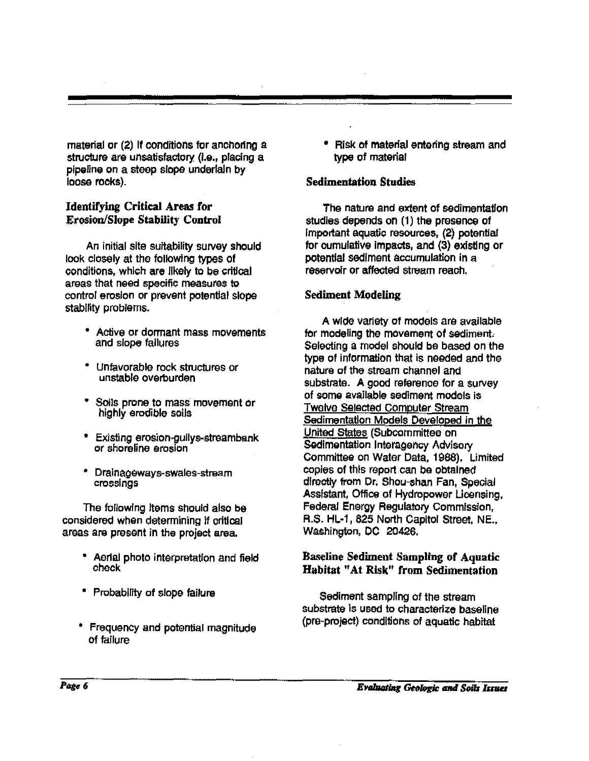material or (2) If conditions for anchoring a structure are unsatisfactory (I.e., placing a pipeline on a steep slope underlain by loose rocks).

### Identifying Critical Areas for Erosion/Slope Stability Control

An initial site suitability survey should look closely at the folloWing types of conditions, which are likely to be critical areas that need specific measures to control erosion or prevent potential slope stability problems.

- Active or dormant mass movements and slope failures
- Unfavorable rock structures or unstable overburden
- Soils prone to mass movement or highly erodible soils
- Existing erosion.gullys-streambank or shoreline erosion
- Dralnageways-swales-stream crossings

The following Items should also be considered when determining if critical areas are present in the project area.

- Aerial photo interpretation and field chock
- Probability of slope failure
- Frequency and potential magnitude of failure

• Risk of material entering stream and type of material

### Sedimentation Studies

The nature and extent of sedimentation studies depends on (1) the presence of important aquatic resources, (2) potential for cumulative impacts, and (3) existing or potential sediment accumulation in a reservoir or affected stream reach.

### Sediment Modeling

A wide variety of models are available for modeling the movement of sediment. Selecting a model should be based on the type of information that is needed and the nature of the stream channel and substrate. A good reference for a survey of some available sediment models is Twelve Selected computer Stream Sedimentation Models Developed In the United States (Subcommittee on Sedimentation Interagency Advisory Committee on Water Data, 1988). Limited copies of this report can be obtained directly from Or; Shou-shan Fan, Special Assistant, Office of Hydropower Licensing, Federal Energy Regulatory Commission, R.S. HL-1, 825 North Capitol Street, NE., Washington, DC 20426.

### Baseline Sediment Sampling of Aquatic Habitat "At Risk" from Sedimentation

Sediment sampling of the stream substrate is used to characterize baseline (pre-project) conditions of aquatic habitat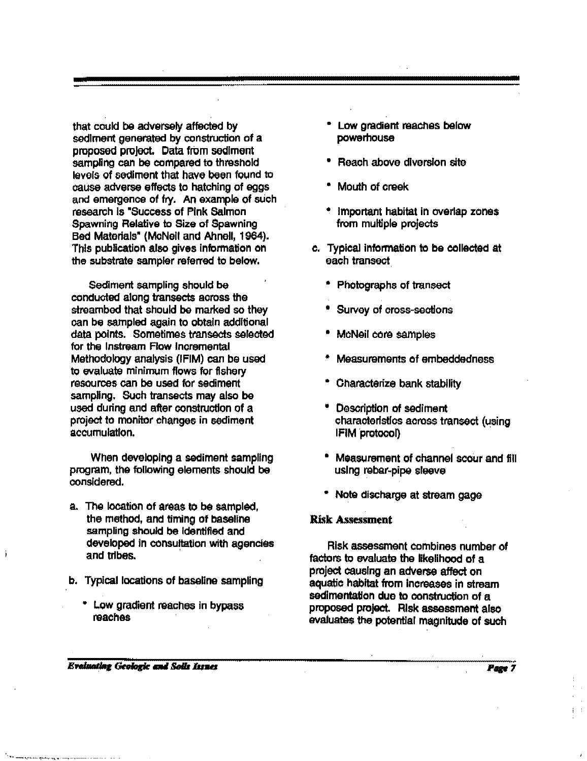that could be adversely affected by sediment generated by construction of a proposed project. Oata from sediment sampling can be compared to threshold levels of sediment that have been found to cause adverse effects to hatching of eggs and emergence of fry. An example of such research Is "Success of Pink Salmon Spawning Relative to Size of Spawning Bed Materials" (McNeil and Ahnell, 1964). This publication also gives infonnation on the substrate sampler referred to below.

Sediment sampling should be conducted along transects across the streambed that should be marked so they can be sampled again to obtain additional data points. Sometimes transects selected for the lnstream Flow Incremental Methodology analysis (IFIM) can be used to evaluate minimum flows for fishery resources can be used for sediment sampling. Such transects may also be used during and after construction of a project to monitor changes in sediment accumulation.

When developing a sediment sampling program, the following elements should be considered.

- a. The location of areas to be sampled, the method, and timing of baseline sampling should be identified and developed in consultation with agencies and tribes.
- b. Typical locations of baseline sampling
	- L.ow gradient reaches in bypass reaches
- Low gradiant raaches below powerhouse
- Reach above diversion site
- Mouth of craek
- Important habitat in overlap zones from multiple projects
- c. Typical infonnation to be collected at each transect
	- Photographs of transect
	- Survey of cross-sections
	- McNeil cora samples
	- Measuraments of embeddedness
	- Characterize bank stability
	- Description of sediment characteristics across transect (using IFIM protocol)
	- Measurement of channel scour and fill using rebar-pipe sleeve
	- Note discharge at stream gage

#### Risk Assessment

Risk assessment combines number of factors to evaluate the likelihood of a project causing an adverse affect on aquatic habitat from Increases in stream sedimentation due to construction of a proposed project. Risk assessment also evaluates the potential magnitude of such

**Evaluating Geologic and Solls Issues**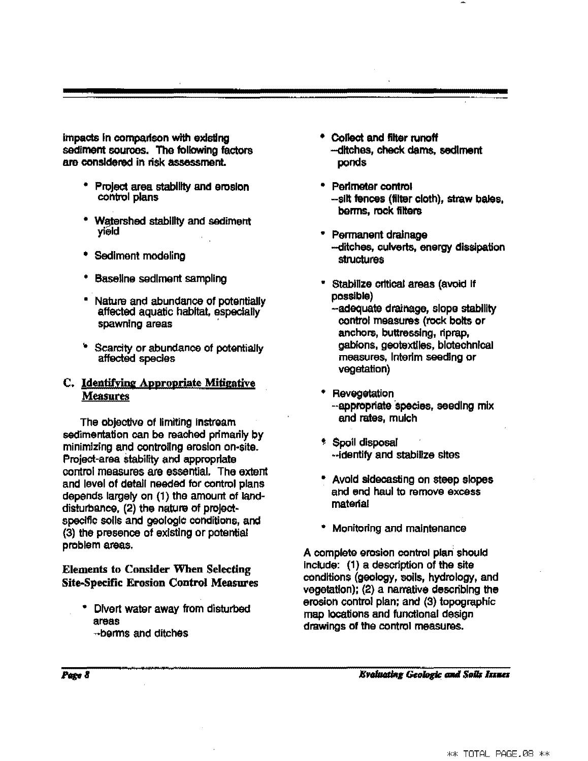impacts in comparison with existing sediment sources. The following factors are considered in risk assessment.

- Project area stability and erosion control plans
- Watershed stability and sediment yield
- Sediment modeling
- Baseline sediment sampling
- Nature and abundance of potentially affected aquatic habitat, especially spawning areas
- .. Scarcity or abundance of potentially affected species

### C. Identifying Appropriate Mitigative Measures

The objectlva of limiting instream sedimentation can be reached primarily by minimizing and controllng erosion on·sita. Project-area stability and appropriate control measures are essential. The extent and level of detail needed for control plans depends largely on (1) the amount of landdisturbance, (2) the nature of projectspecific soils and geologic conditions, and {3) the presence of existing or potential problem areas.

### Elements to Consider When Selecting Site-Specific Erosion Control Measures

• Divert water away from disturbed areas ,.berms and ditches

- Collect and filter runoff -- ditches, check dams, sediment ponds
- Perlmater contml -slit fences (filter cloth), straw bales, berms, rook filters
- Permanent drainage --ditches, culverts, energy dissipation structures
- Stabilize critical areas (avoid if posSible) --adequate drainage, slope stability control measures {rock bolts or anohors, buttressing, riprap, gabions, geotextlles, blotechnlcal measures, Interim seeding or vegetation)
- \* Revegetation --appropriate 'species, seeding mix and rates, mulch
- ' Spoil disposal ··identify and stabilize sites
- Avoid sldecasting on steep slopes and end haul to remove excess material
- Monitoring and maintenance

A complete erosion control plan should include: (1) a description of the site conditions {geology, soils, hydrology, and vegetation); {2) a narrative describing the erosion control plan; and (3) topographic map locations and functional design drawings of the control measures.

**Evoluating Geologic and Solls Issues**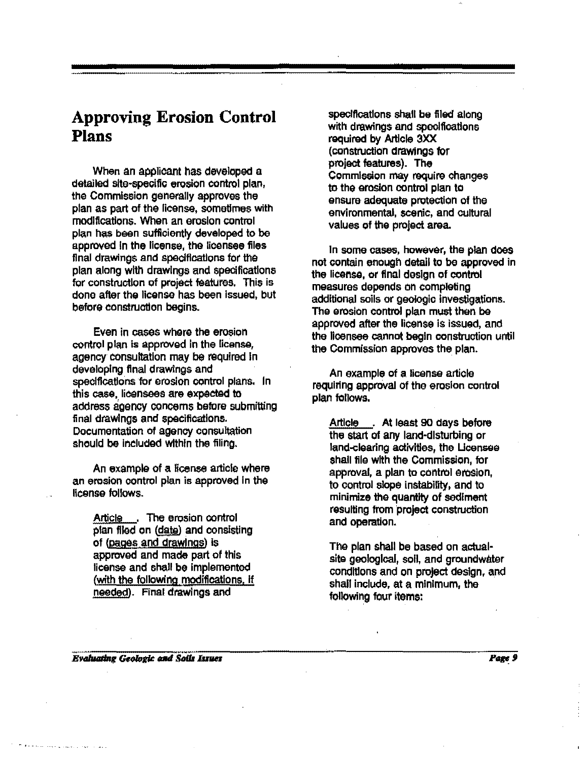### **Approving Erosion Control Plans**

When an applicant has developed a detailed site-specific erosion control plan, the Commission generally approves the plan as part of the license, sometimes with modifications. When an erosion control plan has been sufficiently developed to be approved In the license, the licensee files final drawings and specifications for the plan along with drawings and specifications for construction of project features. This is done after the license has been issued, but before construction begins.

Even in cases where the erosion control plan is approved In the license, agency consultation may be required In developing final drawings and specifications for erosion control plans. In this case, lieensees are expeetad to address agency concems befere submitting final drawings and specifications. Documentation of agency consultation should be included within the filing.

An example of a license article where an erosion control plan is approved In the license follows.

> Article . The erosion control plan flied on (date) and consisting of (pages and drawings) is approved and made part of this license and shall be implemented (with the following modifications, if needed). Final drawings and

specifications shall be filed along with drawings and specifications required by Article 3XX (constructlon draWings fer project features). The .<br>Commission may require changes to the erosion control plan to ensure adequate protection of the environmental, scenic, and cultural values of the project area.

In some cases, however, the plan does not contain enough detail to be approved in the license, or final design of control measures depends on completing additional soils or geologic Investigations. The erosion control plan must then be approved after the license is issued, and the licensee cannot begin construction until the Commission approves the plan.

An example of a license article requiring approval of the erosion control plan follows.

Article . At least 90 days before the start of any land-disturbing or land-clearing activities, the Ucensee shall file with the Commission, for approval, a plan to control erosion, to control slope instability, and to minimize the quantity of sediment resulting from project construction and operation.

The plan shall be based on actualsite geological, soli, and groundwater conditions and on project design, and shall include, at a minimum, the following four items:

**Evaluating Geologic and Soils Issues** 

Page 9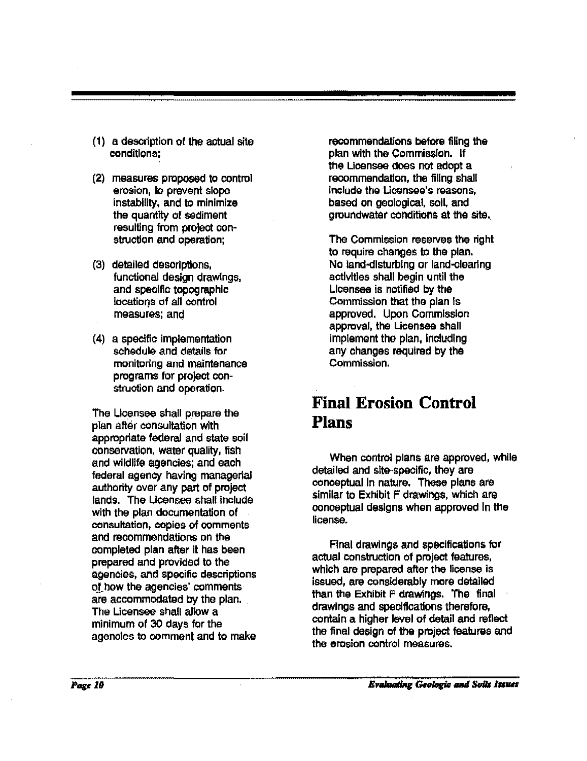- (1) a. description of the actual site conditions;
- (2) measures proposed to control erosion, to prevent slope instability, and to minimize the quantity of sediment resulting from project construction and operation;
- {3) detailed descriptions, functional design drawings, and specific topographic locations of all control measures: and
- (4) a specific implementation schedule and details for mgnitoring and maintenance programs for project oonstruction and operation.

The Licensee shall prepare the plan after consultation with appropriate federal and state soil oonservation, water quality, fish and wildlife agencies: and each federal agency having managerial authority over any part of project lands. The Licensee shall include with the plan documentation of consultation, copies of oomments and recommendations on the oompleted plan after it has been prepared and provided to the agencies, and specific descriptions of how the agencies' comments are accommodated by the plan. The Licensee shall allow a minimum of 30 days for the agencies to comment and to make

recommendations before filing the plan with the Commission. If the Licansee does not adopt a recommendation, the filing shall include the Licensee's reasons, based on geological, soli. and groundwater conditions at the site.

The Commission reserves the right to require changes to the plan. No land-disturbing or land-clearing activities shall begin until the Licensee is notified by the Commission that the plan Is approved. Upon Commission approval, the Licensee shall implement the plan, Including any changes required by the Commission.

## **Final Erosion Control Plans**

When control plans are approved, while detailed and site-specific, they are conceptual In nature. These plans are similar to Exhibit F drawings, which are conceptual designs when approved In the license.

Final drawings and specifications fOr actual construction of project features, which are prepared after the license is issued, are considerably more detailed than the Exhibit F drawings. The final drawings and specifications therefore, contain a higher level of detail and reflect the final design of the project features and the erosion control measures.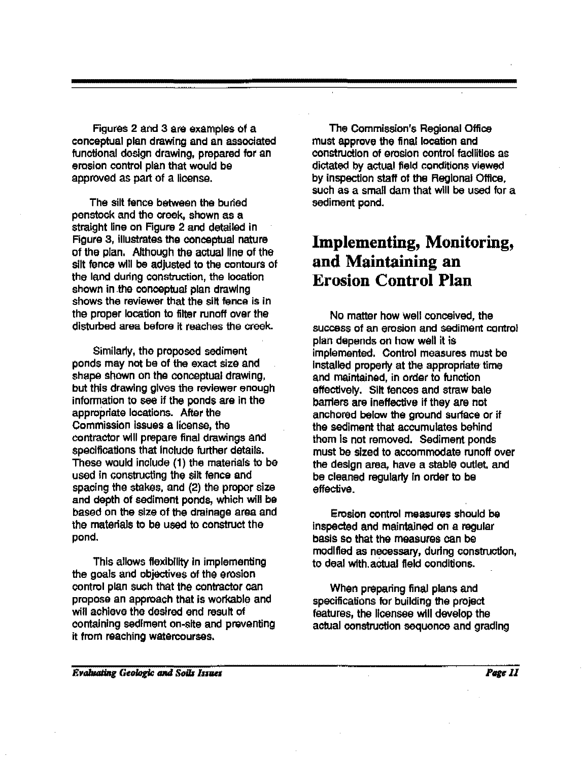Figures 2 and 3 are examples of a conceptual plan drawing and an associated functional design drawing, prepared for an erosion control plan that would be approved as part of a license.

The silt fence between the buried penstock and tho crook, shown as a straight line on Figure 2 and detailed in Figure 3, illustrates the conceptual nature of the plan. Although the actual line of the silt fence will be adjusted to the contours of the land during construction, the looatlon shown in the conceptual plan drawing shows the reviewer that the silt fence is in the proper location to filter runoff over the disturbed area before it reaches the creek.

Similarly, the proposed sediment ponds may not be of the exact size and shape shown on the conceptual drawing, but this drawing gives the reviewer enough information to see if the ponds are in the appropriate locations. After the Commission Issues a license, the contractor will prepare final drawings and specifications that Include further details. These would include (1) the materials to be used in constructing the silt fence and spacing the stakes, and (2) the proper size and depth of sediment ponds, which will be based on the size of the drainage area and the materials to be used to construct the pond.

This allows flexibility in implementing the goals and objectives of the erosion control plan such that the contractor can propose an approach that is workable and will achieve the desired end result of containing sediment on-site and preventing it from reaching watercourses.

The Commission's Regional Office must approve the final location and construction of erosion control facilities as dictated by actual field conditions viewed by inspection staff of the Regional Office. such as a small dam that will be used for a sediment pond.

## **Implementing, Monitoring, and Maintaining an Erosion Control Plan**

No matter how Well conceived, the success of an erosion and sediment control plan depends on how well it is implemented. Control measures must be Installed properly at the appropriate time and maintained, in order to function effectively. Silt fences and straw bale barriers are Ineffective if they are not anchored below the ground surface or if the sediment that accumulates behind them Is not removed. Sediment ponds must be sized to accommodate runoff over the design area, have a stable outlet. and be cleaned regularly in order to be effective.

Erosion control measures should be inspected and maintained on a regular basis so that the measures can be modified as necessary, during construction, to deal with. aCtual field conditions.

When preparing final plans and specifications for building the project features, the licensee will develop the actual construction sequence and grading

#### **Evaluating Geologic and Soils Issues**

Pare II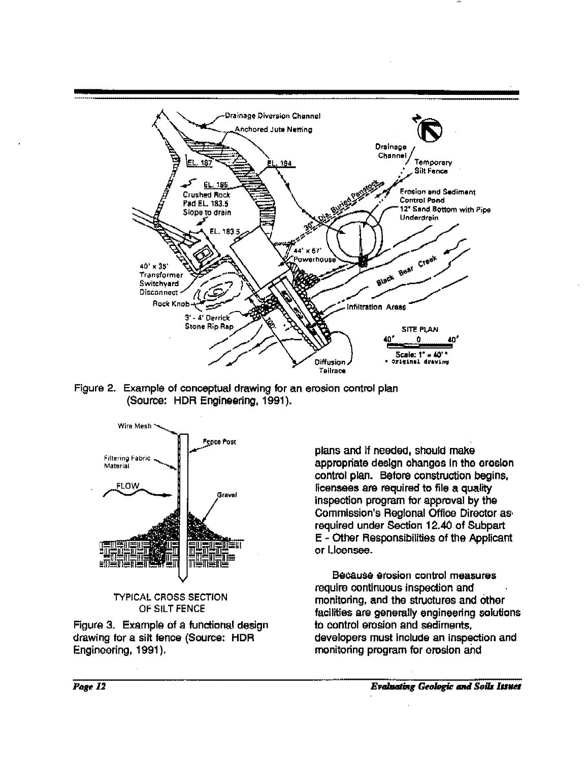

Figure 2. Example of conceptual drawing for an erosion control plan (Source: HDR Engineering, 1991 ).





Figure 3. Example of a functional design drawing for a silt fence (Source: HDR Engineering, 1991).

plans and If needed, should make appropriate design ohangos In tho erosion control plan. Before construction begins, licensees are required to file a quality inspection program for approval by the Commission's Regional Office Director as· required under Section 12.40 of Subpart E • Other Responsibilities of the Applicant or Licensee.

Because erosion control measures require continuous Inspection and monitoring, and the structures and other facilities are generally engineering solutions to control erosion and sediments, developers must include an inspection and monitoring program for erosion and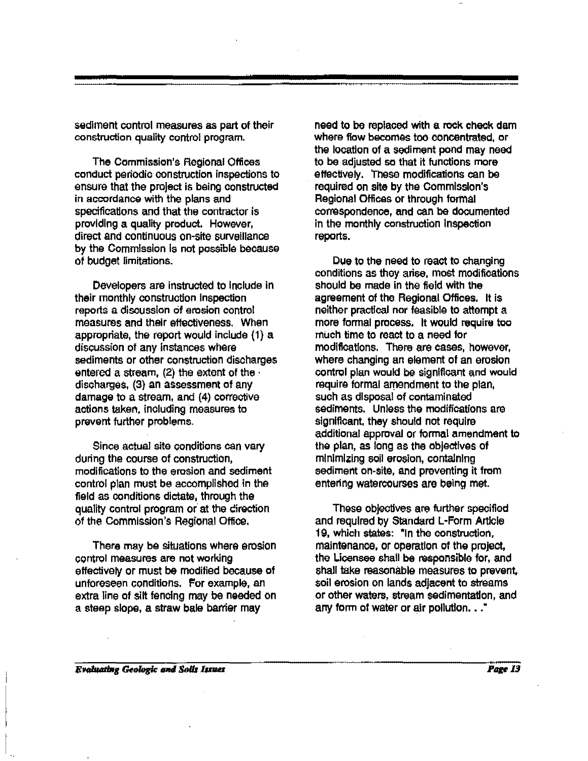sediment control measures as part of their construction quality control program.

The Commission's Regional Offices conduct periodic construction inspections to ensure that the project is being constructed in accordance with the plans and specifications and that the contractor is providing a quality product. However, direct and continuous on-site surveillance by the Commission Is not possible because of budget limitations.

Developers are instructed to Include in their monthly construction Inspection reports a discussion of erosion control measures and their effectiveness. When appropriate, the report would include (1) a discussion of any instances where sediments or other construction discharges entered a stream,  $(2)$  the extent of the  $\cdot$ discharges, (3) an assessment of any damage to a stream, and (4) corrective actions taken, including measures to prevent further problems.

Since actual site conditions can vary during the course of construction, modifications to the erosion and sediment control plan must be accomplished in the field as conditions dictate, through the quality control program or at the cirection of the Commission's Regional Office.

There may be situations where erosion control measures are not working effectively or must be modified because of unforeseen conditions. For example, an extra line of silt fencing may be needed on a steep slope, a straw bale barrier may

need to be replaced with a rock check dam where flow becomes too concentrated, or the location of a sediment pond may need to be adjusted so that it functions more effectively. These modifications can be required on site by the Commission's Regional Offices or through formal correspondence, and can be documented in the monthly construction Inspection report&.

Due to the need to react to changing conditions as they arise, most modifications should be made in the field with the agreement of the Regional Offices. It is neither practical nor feasible to attempt a more formal process. It would require too rnuch time to react to a need for modifications. There are cases, however, where changing an element of an erosion control plan would be significant and would require formal amendment to the plan, such as disposal of contaminated sediments. Unless the modifications are significant. they should not require additional approval or formal amendment to the plan, as long as the objeetives of minimizing soil erosion, containing sediment on-site, and preventing it from entenng watercourses are being met.

These objectives are further specified and required by Standard L·Form Article 19, which states: "In the construction, maintenance, or operation of the project, the Licensee shall be responsible for, and shall take reasonable measures to prevent, soil erosion on lands adjacent to streams or other waters, stream sedimentation, and any form of water or air pollution,  $\ldots$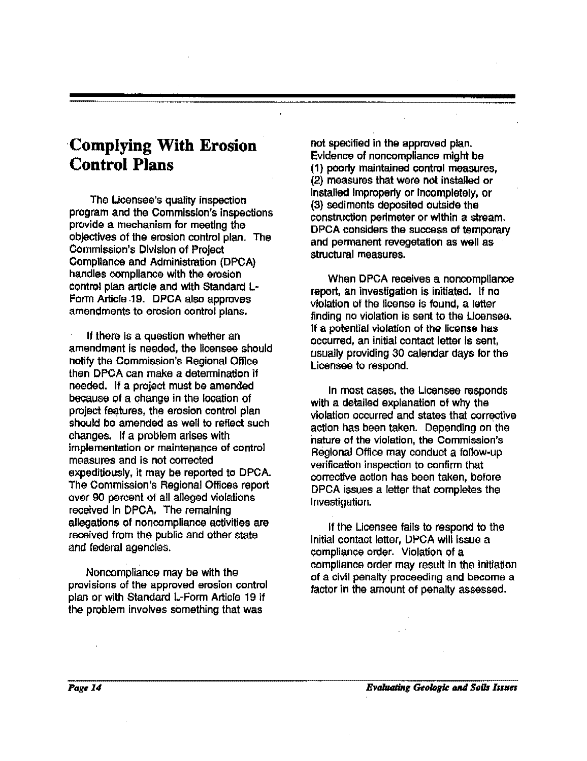# **·Complying With Erosion Control Plans**

Tho Licensee's quality inspection program and the Commission's inspections provide a mechanism for meeting the objectives of the erosion control plan. The Commission's Division of Project Compliance and Administration (DPCA) handles compliance with the erosion control plan article and with Standard I.- Form Article .19. DPCA also approves amendments to erosion control plans.

If there is a question whether an amendment Is needed, the licensee should notify the Commission's Regional Office then DPOA can make a determination if needed. If a project must be amended because of a change in the location of project features, the erosion control plan should bo amended as well to reflect such changes. If a problem arises with implementation or maintenance of control measures and is not corrected expeditiously, it may be reported to DPCA. The Commission's Regional Offices report over 90 percent of all alleged violations received in DPCA. The remaining allegations of noncompliance activities are received from the public and other state and federal agencies.

Noncompliance may be with the provisions of the approved erosion control plan or with Standard L-Form Article 19 if the problem Involves something that was

not specified in the approved plan. Evidence of noncompliance might be (1) poorly maintained control measures, (2) measures that were not installed or installed improperly or Incompletely, or (3) sediments deposited outside the construction perimeter or within a stream. DPCA considers the success of temporary and permanent revegetation as well as structural measures.

When DPCA receives a noncompliance report, an investigation is initiated. If no violation of the license is found, a letter finding no violation is sent to the Licensee. If a potential violation of the license has occurred, an initial contact letter Is sent, usually providing 30 calendar days for the Licensee to respond.

In most cases. the Licensee responds with a detailed explanation of why the violation occurred and states that corrective action has been taken. Depending on the nature of the violation, the Commission's Regional Office may conduct a follow-up verification inspection to confirm that corrective action has been taken, before DPCA issues a letter that completes the Investigation.

If the Licensee fails to respond to the initial contact letter, DPCA will issue a compliance order. VIolation of a compliance order may result in the initiation of a civil penalty proceeding and become a factor in the amount of penalty assessed.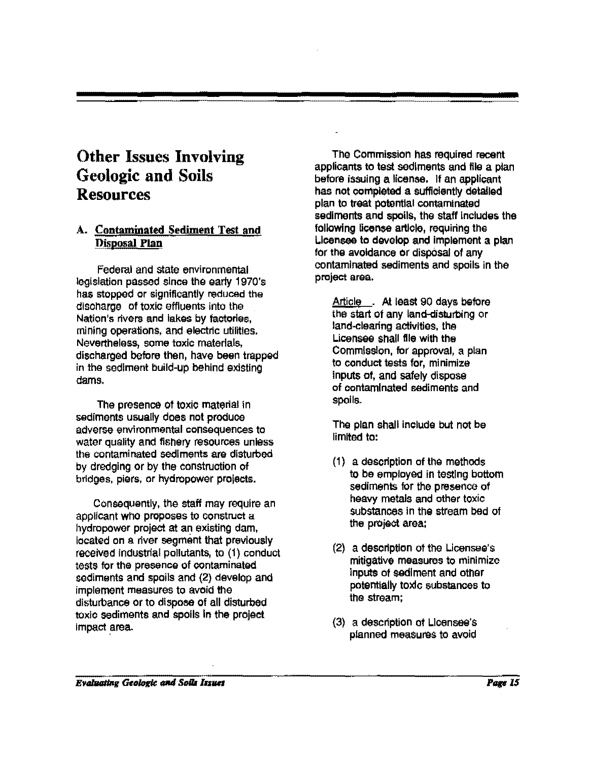# Other Issues Involving Geologic and Soils Resources

### A. Contaminated Sediment Test and Disposal Plan

Federal and state environmental legislation passed since the early 1970's has stopped or significantly reduced the discharge of toxic effluents into the Nation's rivers and lakes by factories, mining operations, and electric utilities. Nevertheless, some toxic materials, discharged before then, have been trapped in the sediment build-up behind existing dams.

The presence of toxic material in sediments usually does not produce adverse environmental consequences to water quality and fisnery resources unless the contaminated sediments are disturbed by dredging or by the construction of bridges, piers, or hydropower projects.

Consequently, the staff may require an applicant who proposes to construct a hydropower project at an existing dam, located on a river segment that previously received industrial pollutants, to (1) conduct tests tor the presence of contaminated sediments and spoils and (2) develop and implement measures to avoid the disturbance or to dispose of all disturbed toxic sediments and spoils In the project impact area.

The Commission has required recent applicants to test sediments and file a plan before issuing a license. If an applicant has not completed a sufficiently detailed plan to treat potential contaminated sediments and spoils, the staff includes the following license article, requiring the Licensee to develop and implement a plan for the avoidance or disposal of any contaminated sediments and spoils in the project area.

Article . At least 90 days before the start of any land-disturbing or land-clearing activities, the Licensee shall flle with the Commission, for approval, a plan to conduct tests for, minimize Inputs of, and safely dispose of contaminated sediments and spoils.

The plan shall include but not be limited to:

- (1) a description of the methods to be employed in testing bottom sediments for the presenoo of heavy metals and other toxic substances in the stream bed of the project area:
- (2) a description of the Licensee's mitigative measures to minimize inputs of sediment and otner potentially toxic substances to the stream;
- (3) a description of Licensee's planned measures to avoid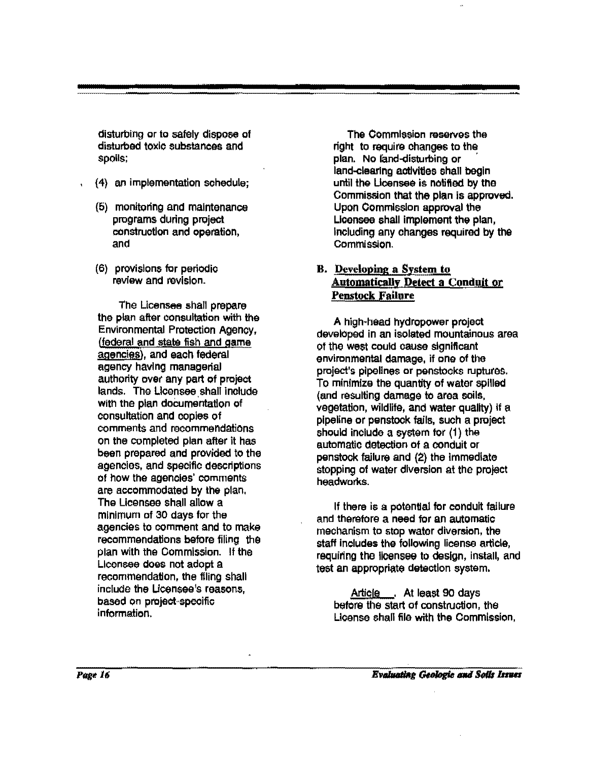disturbing or to safely dispose of disturbed toxic substances and spoils;

- (4) an implementation schedule;
- (5) monitoring and maintenance programs during project construction and operation, and
- (6) provisions for periodic review and revision.

The Licensee shall prepare the plan after consultation with the Environmental Protection Agency, (federal and state fish and game agencies), and each federal ageney having managerial authority ovef any part of project lands. The Licensee shall include with the plan documentation of consultation and copies of comments and recommendations on the completed plan after it has been prepared and provided to the agencies, and specific descriptions of how the agencies' comments are accommodated by the plan. The Licensee shall allow a minimum of 30 days for the agencies to comment and to make recommendations before filing the plan with the Commission. If the Licensee does not adopt a recommendation, the filing shall include the Ucensee's reasons, based on project~specific information.

The Commission reserves the right to require changes to the plan. No land-disturbing or land-clearing activities shall begin until the Ucensee is notified by tne Commission that the plan is approved. Upon Commission approval the Licensee shall implement the plan, Including any changes raquired by the CommisSion.

### B. Developing a System to Automatically Detect a Conduit or Penstock Failure

A high·head hydropower project developed in an isolated mountainous area of the west could cause significant environmental damage, if one of the project's pipelines or penstocks ruptures. To minimiza the quantity of water spilled (and resulting damage to area soils, vegetation, wildlife, and water quality} if a pipeline or panstock fails, such a project should include a system tor (1) the automatic detection of a conduit or penstock failure and (2) the immediate stopping of water diversion at the project headworks.

If there is a potential for conduit failure and therefore a need for an automatic mechanism to stop water diversion, the staff Includes the following license article, requiring the licensee to design, install, and test an appropriate detection system.

Article . At least 90 days before the start of construction, the License shall file with the Commission,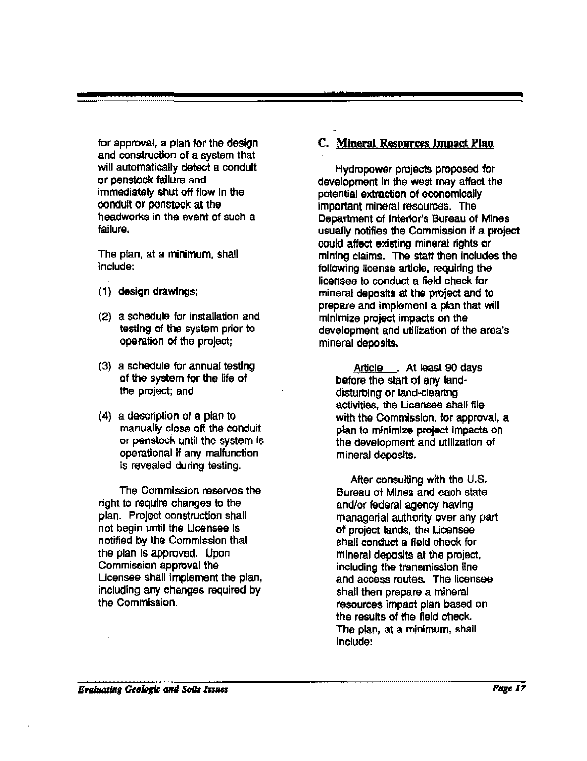for approval, a plan for the design and construction of a system that will automatically detect a conduit or penstock failure and immediately shut off flow In the conduit or penstock at the headworks in the event of such a failure.

The plan, at a minimum, shall include:

- (1) design drawings;
- (2) a schedule for installation and testing of the system prior to operation of the project;
- (3) a schedule tor annual testing of the system for the life of the project; and
- (4) a description of a plan to manually close off tha conduit or penstock until the system Is operational If any malfunction is revealed during testing.

The Commission reserves the right to require changes to the plan. Project construction shall not begin until the Licensee is notified by the Commission that the plan Is approved. Upon Commission approval the Licensee shall implement the plan, including any changes required by the Commission.

### C. **Mineral Resources Impact Plan**

Hydropower projects proposed for development in the west may affect the potential extraction of oconomloally Important mineral resources. The Department of Interior's Bureau of Mines usually notifies the Commission if a project could affect existing mineral rights or mining elaims. The staff then Includes the following license article, requiring the licensee to conduct a field check for mineral deposits at the project and to prepare and Implement a plan that will minimize project impacts on the development and utilization of the area's mineral deposits.

Article . At least 90 days before the start of any landdisturbing or land-clearing activities, the Licensee shall file with the Commission, for approval, a plan to minimize project impacts on the development and utilization of mineral deposits.

After consulting with the U.S. Bureau of Mines and each state and/or federal agency having managerial authority over any part of project lands, the Licensee shall conduct a field check for mineral deposits at the project, including the transmission line and access routes. The licensee shall then prepare a mineral resourees impact plan based on the results of the fleld check. The plan, at a minimum, shall Include: